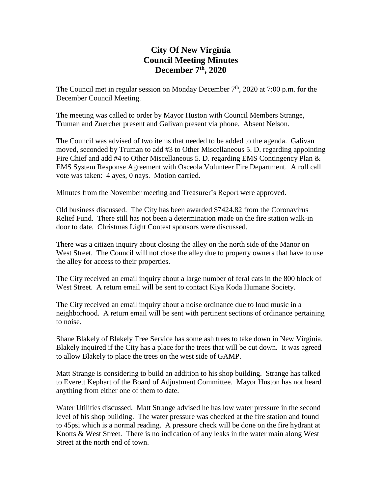# **City Of New Virginia Council Meeting Minutes December 7 th , 2020**

The Council met in regular session on Monday December  $7<sup>th</sup>$ , 2020 at 7:00 p.m. for the December Council Meeting.

The meeting was called to order by Mayor Huston with Council Members Strange, Truman and Zuercher present and Galivan present via phone. Absent Nelson.

The Council was advised of two items that needed to be added to the agenda. Galivan moved, seconded by Truman to add #3 to Other Miscellaneous 5. D. regarding appointing Fire Chief and add #4 to Other Miscellaneous 5. D. regarding EMS Contingency Plan & EMS System Response Agreement with Osceola Volunteer Fire Department. A roll call vote was taken: 4 ayes, 0 nays. Motion carried.

Minutes from the November meeting and Treasurer's Report were approved.

Old business discussed. The City has been awarded \$7424.82 from the Coronavirus Relief Fund. There still has not been a determination made on the fire station walk-in door to date. Christmas Light Contest sponsors were discussed.

There was a citizen inquiry about closing the alley on the north side of the Manor on West Street. The Council will not close the alley due to property owners that have to use the alley for access to their properties.

The City received an email inquiry about a large number of feral cats in the 800 block of West Street. A return email will be sent to contact Kiya Koda Humane Society.

The City received an email inquiry about a noise ordinance due to loud music in a neighborhood. A return email will be sent with pertinent sections of ordinance pertaining to noise.

Shane Blakely of Blakely Tree Service has some ash trees to take down in New Virginia. Blakely inquired if the City has a place for the trees that will be cut down. It was agreed to allow Blakely to place the trees on the west side of GAMP.

Matt Strange is considering to build an addition to his shop building. Strange has talked to Everett Kephart of the Board of Adjustment Committee. Mayor Huston has not heard anything from either one of them to date.

Water Utilities discussed. Matt Strange advised he has low water pressure in the second level of his shop building. The water pressure was checked at the fire station and found to 45psi which is a normal reading. A pressure check will be done on the fire hydrant at Knotts & West Street. There is no indication of any leaks in the water main along West Street at the north end of town.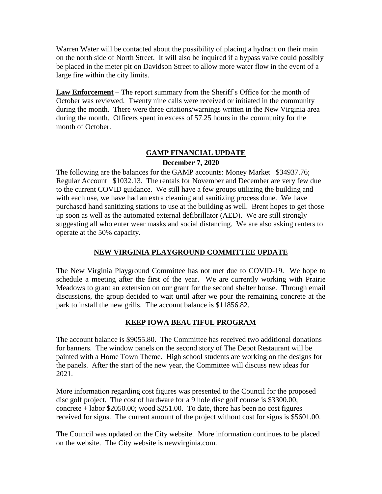Warren Water will be contacted about the possibility of placing a hydrant on their main on the north side of North Street. It will also be inquired if a bypass valve could possibly be placed in the meter pit on Davidson Street to allow more water flow in the event of a large fire within the city limits.

**Law Enforcement** – The report summary from the Sheriff's Office for the month of October was reviewed. Twenty nine calls were received or initiated in the community during the month. There were three citations/warnings written in the New Virginia area during the month. Officers spent in excess of 57.25 hours in the community for the month of October.

## **GAMP FINANCIAL UPDATE**

#### **December 7, 2020**

The following are the balances for the GAMP accounts: Money Market \$34937.76; Regular Account \$1032.13. The rentals for November and December are very few due to the current COVID guidance. We still have a few groups utilizing the building and with each use, we have had an extra cleaning and sanitizing process done. We have purchased hand sanitizing stations to use at the building as well. Brent hopes to get those up soon as well as the automated external defibrillator (AED). We are still strongly suggesting all who enter wear masks and social distancing. We are also asking renters to operate at the 50% capacity.

### **NEW VIRGINIA PLAYGROUND COMMITTEE UPDATE**

The New Virginia Playground Committee has not met due to COVID-19. We hope to schedule a meeting after the first of the year. We are currently working with Prairie Meadows to grant an extension on our grant for the second shelter house. Through email discussions, the group decided to wait until after we pour the remaining concrete at the park to install the new grills. The account balance is \$11856.82.

### **KEEP IOWA BEAUTIFUL PROGRAM**

The account balance is \$9055.80. The Committee has received two additional donations for banners. The window panels on the second story of The Depot Restaurant will be painted with a Home Town Theme. High school students are working on the designs for the panels. After the start of the new year, the Committee will discuss new ideas for 2021.

More information regarding cost figures was presented to the Council for the proposed disc golf project. The cost of hardware for a 9 hole disc golf course is \$3300.00; concrete + labor \$2050.00; wood \$251.00. To date, there has been no cost figures received for signs. The current amount of the project without cost for signs is \$5601.00.

The Council was updated on the City website. More information continues to be placed on the website. The City website is newvirginia.com.